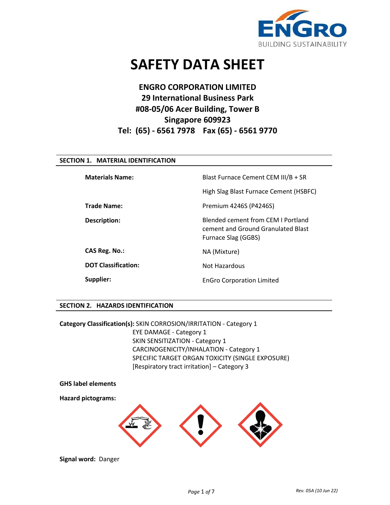

# **SAFETY DATA SHEET**

# **ENGRO CORPORATION LIMITED 29 International Business Park #08-05/06 Acer Building, Tower B Singapore 609923 Tel: (65) - 6561 7978 Fax (65) - 6561 9770**

# **SECTION 1. MATERIAL IDENTIFICATION**

| <b>Materials Name:</b>     | Blast Furnace Cement CEM III/B + SR                                                                    |
|----------------------------|--------------------------------------------------------------------------------------------------------|
|                            | High Slag Blast Furnace Cement (HSBFC)                                                                 |
| <b>Trade Name:</b>         | Premium 4246S (P4246S)                                                                                 |
| Description:               | Blended cement from CEM I Portland<br>cement and Ground Granulated Blast<br><b>Furnace Slag (GGBS)</b> |
| CAS Reg. No.:              | NA (Mixture)                                                                                           |
| <b>DOT Classification:</b> | Not Hazardous                                                                                          |
| Supplier:                  | <b>EnGro Corporation Limited</b>                                                                       |

# **SECTION 2. HAZARDS IDENTIFICATION**

**Category Classification(s):** SKIN CORROSION/IRRITATION - Category 1 EYE DAMAGE - Category 1 SKIN SENSITIZATION - Category 1 CARCINOGENICITY/INHALATION - Category 1 SPECIFIC TARGET ORGAN TOXICITY (SINGLE EXPOSURE) [Respiratory tract irritation] – Category 3



**Signal word:** Danger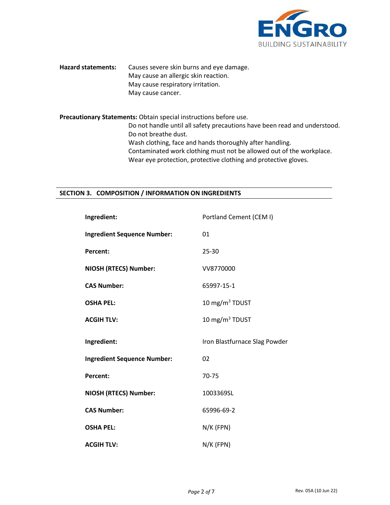

**Hazard statements:** Causes severe skin burns and eye damage. May cause an allergic skin reaction. May cause respiratory irritation. May cause cancer.

**Precautionary Statements:** Obtain special instructions before use. Do not handle until all safety precautions have been read and understood. Do not breathe dust. Wash clothing, face and hands thoroughly after handling. Contaminated work clothing must not be allowed out of the workplace. Wear eye protection, protective clothing and protective gloves.

# **SECTION 3. COMPOSITION / INFORMATION ON INGREDIENTS**

| Ingredient:                        | Portland Cement (CEM I)       |
|------------------------------------|-------------------------------|
| <b>Ingredient Sequence Number:</b> | 01                            |
| Percent:                           | 25-30                         |
| NIOSH (RTECS) Number:              | VV8770000                     |
| <b>CAS Number:</b>                 | 65997-15-1                    |
| <b>OSHA PEL:</b>                   | 10 mg/m <sup>3</sup> TDUST    |
| <b>ACGIH TLV:</b>                  | 10 mg/m $3$ TDUST             |
|                                    |                               |
| Ingredient:                        | Iron Blastfurnace Slag Powder |
| <b>Ingredient Sequence Number:</b> | 02                            |
| <b>Percent:</b>                    | 70-75                         |
| <b>NIOSH (RTECS) Number:</b>       | 1003369SL                     |
| <b>CAS Number:</b>                 | 65996-69-2                    |
| <b>OSHA PEL:</b>                   | $N/K$ (FPN)                   |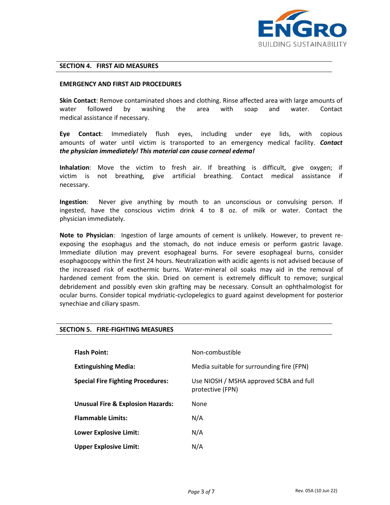

#### **SECTION 4. FIRST AID MEASURES**

#### **EMERGENCY AND FIRST AID PROCEDURES**

**Skin Contact**: Remove contaminated shoes and clothing. Rinse affected area with large amounts of water followed by washing the area with soap and water. Contact medical assistance if necessary.

**Eye Contact**: Immediately flush eyes, including under eye lids, with copious amounts of water until victim is transported to an emergency medical facility. *Contact the physician immediately! This material can cause corneal edema!*

**Inhalation**: Move the victim to fresh air. If breathing is difficult, give oxygen; if victim is not breathing, give artificial breathing. Contact medical assistance if necessary.

**Ingestion**:Never give anything by mouth to an unconscious or convulsing person. If ingested, have the conscious victim drink 4 to 8 oz. of milk or water. Contact the physician immediately.

**Note to Physician**:Ingestion of large amounts of cement is unlikely. However, to prevent reexposing the esophagus and the stomach, do not induce emesis or perform gastric lavage. Immediate dilution may prevent esophageal burns. For severe esophageal burns, consider esophagocopy within the first 24 hours. Neutralization with acidic agents is not advised because of the increased risk of exothermic burns. Water-mineral oil soaks may aid in the removal of hardened cement from the skin. Dried on cement is extremely difficult to remove; surgical debridement and possibly even skin grafting may be necessary. Consult an ophthalmologist for ocular burns. Consider topical mydriatic-cyclopelegics to guard against development for posterior synechiae and ciliary spasm.

| <b>Flash Point:</b>                          | Non-combustible                                             |
|----------------------------------------------|-------------------------------------------------------------|
| <b>Extinguishing Media:</b>                  | Media suitable for surrounding fire (FPN)                   |
| <b>Special Fire Fighting Procedures:</b>     | Use NIOSH / MSHA approved SCBA and full<br>protective (FPN) |
| <b>Unusual Fire &amp; Explosion Hazards:</b> | <b>None</b>                                                 |
| <b>Flammable Limits:</b>                     | N/A                                                         |
| <b>Lower Explosive Limit:</b>                | N/A                                                         |
| <b>Upper Explosive Limit:</b>                | N/A                                                         |

# **SECTION 5. FIRE-FIGHTING MEASURES**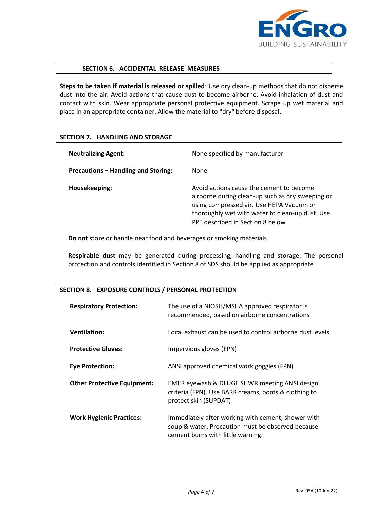

# **SECTION 6. ACCIDENTAL RELEASE MEASURES**

**Steps to be taken if material is released or spilled**: Use dry clean-up methods that do not disperse dust into the air. Avoid actions that cause dust to become airborne. Avoid inhalation of dust and contact with skin. Wear appropriate personal protective equipment. Scrape up wet material and place in an appropriate container. Allow the material to "dry" before disposal.

# **SECTION 7. HANDLING AND STORAGE**

| <b>Neutralizing Agent:</b>          | None specified by manufacturer                                                                                                                                                                                                  |
|-------------------------------------|---------------------------------------------------------------------------------------------------------------------------------------------------------------------------------------------------------------------------------|
| Precautions - Handling and Storing: | <b>None</b>                                                                                                                                                                                                                     |
| Housekeeping:                       | Avoid actions cause the cement to become<br>airborne during clean-up such as dry sweeping or<br>using compressed air. Use HEPA Vacuum or<br>thoroughly wet with water to clean-up dust. Use<br>PPE described in Section 8 below |

**Do not** store or handle near food and beverages or smoking materials

**Respirable dust** may be generated during processing, handling and storage. The personal protection and controls identified in Section 8 of SDS should be applied as appropriate

| <b>Respiratory Protection:</b>     | The use of a NIOSH/MSHA approved respirator is<br>recommended, based on airborne concentrations                                              |
|------------------------------------|----------------------------------------------------------------------------------------------------------------------------------------------|
| <b>Ventilation:</b>                | Local exhaust can be used to control airborne dust levels                                                                                    |
| <b>Protective Gloves:</b>          | Impervious gloves (FPN)                                                                                                                      |
| <b>Eye Protection:</b>             | ANSI approved chemical work goggles (FPN)                                                                                                    |
| <b>Other Protective Equipment:</b> | EMER eyewash & DLUGE SHWR meeting ANSI design<br>criteria (FPN). Use BARR creams, boots & clothing to<br>protect skin (SUPDAT)               |
| <b>Work Hygienic Practices:</b>    | Immediately after working with cement, shower with<br>soup & water, Precaution must be observed because<br>cement burns with little warning. |

# **SECTION 8. EXPOSURE CONTROLS / PERSONAL PROTECTION**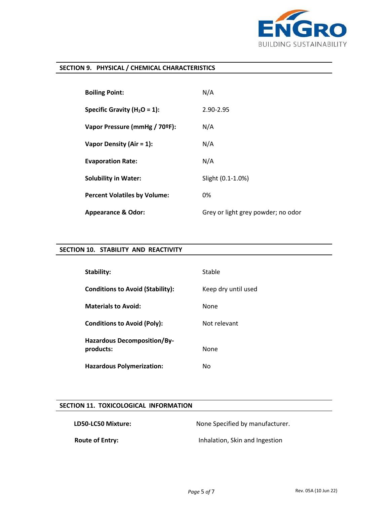

# **SECTION 9. PHYSICAL / CHEMICAL CHARACTERISTICS**

| <b>Boiling Point:</b>               | N/A                                |
|-------------------------------------|------------------------------------|
| Specific Gravity ( $H_2O = 1$ ):    | 2.90-2.95                          |
| Vapor Pressure (mmHg / 70ºF):       | N/A                                |
| Vapor Density (Air = $1$ ):         | N/A                                |
| <b>Evaporation Rate:</b>            | N/A                                |
| <b>Solubility in Water:</b>         | Slight (0.1-1.0%)                  |
| <b>Percent Volatiles by Volume:</b> | 0%                                 |
| <b>Appearance &amp; Odor:</b>       | Grey or light grey powder; no odor |

# **SECTION 10. STABILITY AND REACTIVITY**

| Stability:                                      | Stable              |
|-------------------------------------------------|---------------------|
| <b>Conditions to Avoid (Stability):</b>         | Keep dry until used |
| <b>Materials to Avoid:</b>                      | None                |
| <b>Conditions to Avoid (Poly):</b>              | Not relevant        |
| <b>Hazardous Decomposition/By-</b><br>products: | None                |
| <b>Hazardous Polymerization:</b>                | No.                 |

# **SECTION 11. TOXICOLOGICAL INFORMATION**

| LD50-LC50 Mixture:     | None Specified by manufacturer. |
|------------------------|---------------------------------|
| <b>Route of Entry:</b> | Inhalation, Skin and Ingestion  |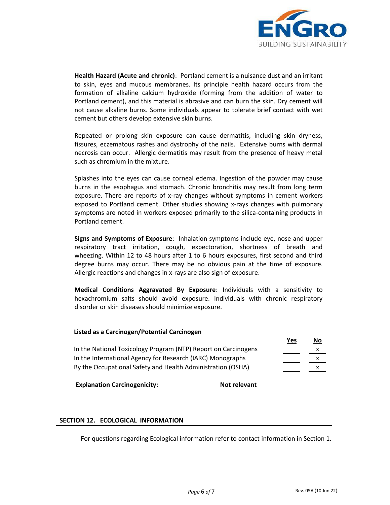

**Health Hazard (Acute and chronic)**:Portland cement is a nuisance dust and an irritant to skin, eyes and mucous membranes. Its principle health hazard occurs from the formation of alkaline calcium hydroxide (forming from the addition of water to Portland cement), and this material is abrasive and can burn the skin. Dry cement will not cause alkaline burns. Some individuals appear to tolerate brief contact with wet cement but others develop extensive skin burns.

Repeated or prolong skin exposure can cause dermatitis, including skin dryness, fissures, eczematous rashes and dystrophy of the nails. Extensive burns with dermal necrosis can occur. Allergic dermatitis may result from the presence of heavy metal such as chromium in the mixture.

Splashes into the eyes can cause corneal edema. Ingestion of the powder may cause burns in the esophagus and stomach. Chronic bronchitis may result from long term exposure. There are reports of x-ray changes without symptoms in cement workers exposed to Portland cement. Other studies showing x-rays changes with pulmonary symptoms are noted in workers exposed primarily to the silica-containing products in Portland cement.

**Signs and Symptoms of Exposure**:Inhalation symptoms include eye, nose and upper respiratory tract irritation, cough, expectoration, shortness of breath and wheezing. Within 12 to 48 hours after 1 to 6 hours exposures, first second and third degree burns may occur. There may be no obvious pain at the time of exposure. Allergic reactions and changes in x-rays are also sign of exposure.

**Medical Conditions Aggravated By Exposure**: Individuals with a sensitivity to hexachromium salts should avoid exposure. Individuals with chronic respiratory disorder or skin diseases should minimize exposure.

# **Listed as a Carcinogen/Potential Carcinogen**

|                                                                | Yes | <u>No</u> |
|----------------------------------------------------------------|-----|-----------|
| In the National Toxicology Program (NTP) Report on Carcinogens |     |           |
| In the International Agency for Research (IARC) Monographs     |     | x         |
| By the Occupational Safety and Health Administration (OSHA)    |     |           |

**Explanation Carcinogenicity:** Not relevant

# **SECTION 12. ECOLOGICAL INFORMATION**

For questions regarding Ecological information refer to contact information in Section 1.